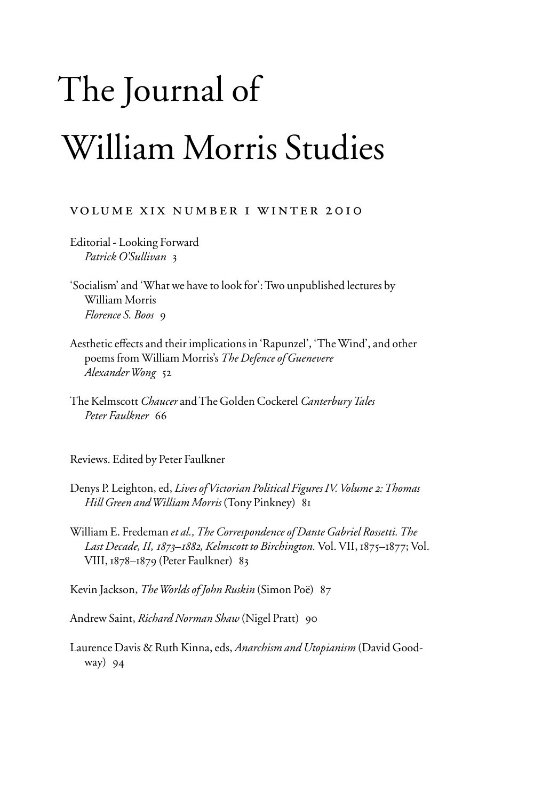## The Journal of William Morris Studies

## volume xix number 1 winter 2010

Editorial - Looking Forward *Patrick O'Sullivan* 3

'Socialism' and 'What we have to look for': Two unpublished lectures by William Morris *Florence S. Boos* 9

- Aesthetic effects and their implications in 'Rapunzel', 'The Wind', and other poems from William Morris's *The Defence of Guenevere Alexander Wong* 52
- The Kelmscott *Chaucer* and The Golden Cockerel *Canterbury Tales Peter Faulkner* 66

Reviews. Edited by Peter Faulkner

- Denys P. Leighton, ed, *Lives of Victorian Political Figures IV. Volume 2: Thomas Hill Green and William Morris* (Tony Pinkney) 81
- William E. Fredeman *et al., The Correspondence of Dante Gabriel Rossetti. The Last Decade, II, 1873–1882, Kelmscott to Birchington.* Vol. VII, 1875–1877; Vol. VIII, 1878–1879 (Peter Faulkner) 83

Kevin Jackson, *The Worlds of John Ruskin* (Simon Poë) 87

Andrew Saint, *Richard Norman Shaw* (Nigel Pratt) 90

Laurence Davis & Ruth Kinna, eds, *Anarchism and Utopianism* (David Goodway) 94